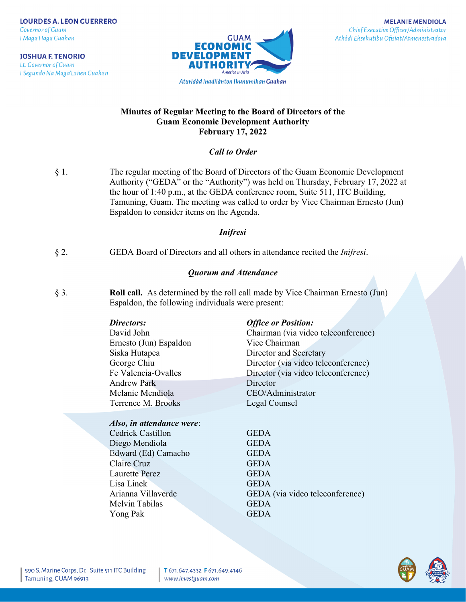**JOSHUA F. TENORIO** Lt. Governor of Guam I Segundo Na Maga'Lahen Guahan



**MELANIE MENDIOLA** Chief Executive Officer/Administrator Atkådi Eksekutibu Ofisiat/Atmenestradora

## **Minutes of Regular Meeting to the Board of Directors of the Guam Economic Development Authority February 17, 2022**

## *Call to Order*

§ 1. The regular meeting of the Board of Directors of the Guam Economic Development Authority ("GEDA" or the "Authority") was held on Thursday, February 17, 2022 at the hour of 1:40 p.m., at the GEDA conference room, Suite 511, ITC Building, Tamuning, Guam. The meeting was called to order by Vice Chairman Ernesto (Jun) Espaldon to consider items on the Agenda.

## *Inifresi*

§ 2. GEDA Board of Directors and all others in attendance recited the *Inifresi*.

## *Quorum and Attendance*

§ 3. **Roll call.** As determined by the roll call made by Vice Chairman Ernesto (Jun) Espaldon, the following individuals were present:

| David John             |
|------------------------|
| Ernesto (Jun) Espaldon |
| Siska Hutapea          |
| George Chiu            |
| Fe Valencia-Ovalles    |
| <b>Andrew Park</b>     |
| Melanie Mendiola       |
| Terrence M. Brooks     |

### *Also, in attendance were*:

Cedrick Castillon GEDA Diego Mendiola GEDA Edward (Ed) Camacho GEDA Claire Cruz GEDA Laurette Perez GEDA Lisa Linek GEDA Melvin Tabilas **GEDA** Yong Pak GEDA

### *Directors: Office or Position:*

Chairman (via video teleconference) Vice Chairman Director and Secretary Director (via video teleconference) Director (via video teleconference) Director CEO/Administrator Legal Counsel

Arianna Villaverde GEDA (via video teleconference)

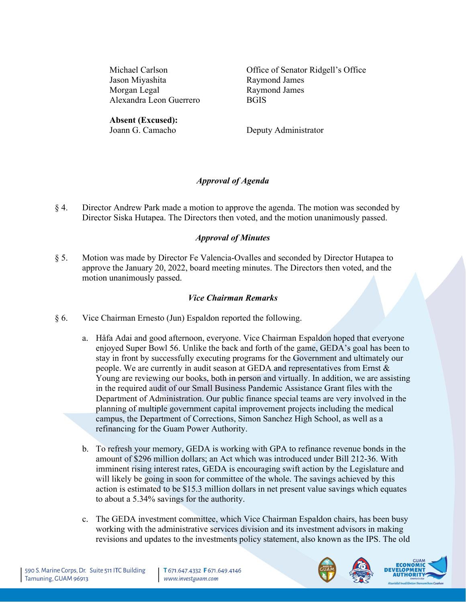Jason Miyashita Raymond James Morgan Legal Raymond James Alexandra Leon Guerrero BGIS

Michael Carlson Office of Senator Ridgell's Office

**Absent (Excused):**<br>Joann G. Camacho

Deputy Administrator

# *Approval of Agenda*

§ 4. Director Andrew Park made a motion to approve the agenda. The motion was seconded by Director Siska Hutapea. The Directors then voted, and the motion unanimously passed.

# *Approval of Minutes*

§ 5. Motion was made by Director Fe Valencia-Ovalles and seconded by Director Hutapea to approve the January 20, 2022, board meeting minutes. The Directors then voted, and the motion unanimously passed.

## *Vice Chairman Remarks*

- § 6. Vice Chairman Ernesto (Jun) Espaldon reported the following.
	- a. Håfa Adai and good afternoon, everyone. Vice Chairman Espaldon hoped that everyone enjoyed Super Bowl 56. Unlike the back and forth of the game, GEDA's goal has been to stay in front by successfully executing programs for the Government and ultimately our people. We are currently in audit season at GEDA and representatives from Ernst & Young are reviewing our books, both in person and virtually. In addition, we are assisting in the required audit of our Small Business Pandemic Assistance Grant files with the Department of Administration. Our public finance special teams are very involved in the planning of multiple government capital improvement projects including the medical campus, the Department of Corrections, Simon Sanchez High School, as well as a refinancing for the Guam Power Authority.
	- b. To refresh your memory, GEDA is working with GPA to refinance revenue bonds in the amount of \$296 million dollars; an Act which was introduced under Bill 212-36. With imminent rising interest rates, GEDA is encouraging swift action by the Legislature and will likely be going in soon for committee of the whole. The savings achieved by this action is estimated to be \$15.3 million dollars in net present value savings which equates to about a 5.34% savings for the authority.
	- c. The GEDA investment committee, which Vice Chairman Espaldon chairs, has been busy working with the administrative services division and its investment advisors in making revisions and updates to the investments policy statement, also known as the IPS. The old



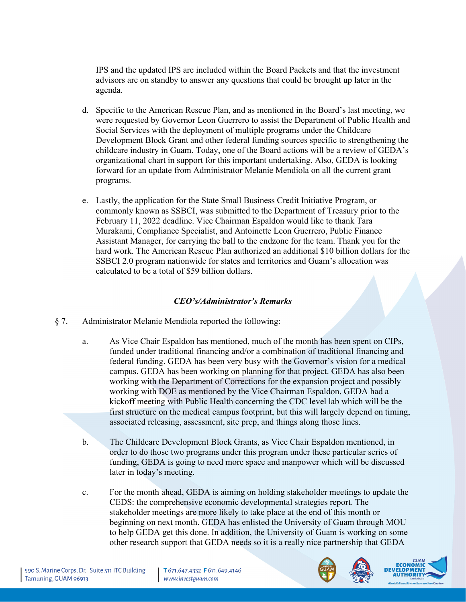IPS and the updated IPS are included within the Board Packets and that the investment advisors are on standby to answer any questions that could be brought up later in the agenda.

- d. Specific to the American Rescue Plan, and as mentioned in the Board's last meeting, we were requested by Governor Leon Guerrero to assist the Department of Public Health and Social Services with the deployment of multiple programs under the Childcare Development Block Grant and other federal funding sources specific to strengthening the childcare industry in Guam. Today, one of the Board actions will be a review of GEDA's organizational chart in support for this important undertaking. Also, GEDA is looking forward for an update from Administrator Melanie Mendiola on all the current grant programs.
- e. Lastly, the application for the State Small Business Credit Initiative Program, or commonly known as SSBCI, was submitted to the Department of Treasury prior to the February 11, 2022 deadline. Vice Chairman Espaldon would like to thank Tara Murakami, Compliance Specialist, and Antoinette Leon Guerrero, Public Finance Assistant Manager, for carrying the ball to the endzone for the team. Thank you for the hard work. The American Rescue Plan authorized an additional \$10 billion dollars for the SSBCI 2.0 program nationwide for states and territories and Guam's allocation was calculated to be a total of \$59 billion dollars.

## *CEO's/Administrator's Remarks*

- § 7. Administrator Melanie Mendiola reported the following:
	- a. As Vice Chair Espaldon has mentioned, much of the month has been spent on CIPs, funded under traditional financing and/or a combination of traditional financing and federal funding. GEDA has been very busy with the Governor's vision for a medical campus. GEDA has been working on planning for that project. GEDA has also been working with the Department of Corrections for the expansion project and possibly working with DOE as mentioned by the Vice Chairman Espaldon. GEDA had a kickoff meeting with Public Health concerning the CDC level lab which will be the first structure on the medical campus footprint, but this will largely depend on timing, associated releasing, assessment, site prep, and things along those lines.
	- b. The Childcare Development Block Grants, as Vice Chair Espaldon mentioned, in order to do those two programs under this program under these particular series of funding, GEDA is going to need more space and manpower which will be discussed later in today's meeting.
	- c. For the month ahead, GEDA is aiming on holding stakeholder meetings to update the CEDS: the comprehensive economic developmental strategies report. The stakeholder meetings are more likely to take place at the end of this month or beginning on next month. GEDA has enlisted the University of Guam through MOU to help GEDA get this done. In addition, the University of Guam is working on some other research support that GEDA needs so it is a really nice partnership that GEDA



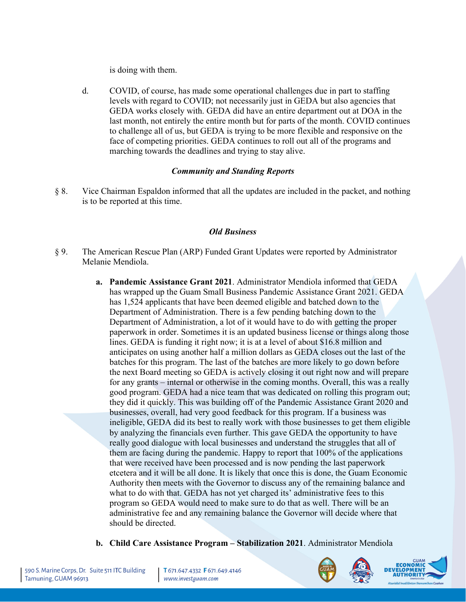is doing with them.

d. COVID, of course, has made some operational challenges due in part to staffing levels with regard to COVID; not necessarily just in GEDA but also agencies that GEDA works closely with. GEDA did have an entire department out at DOA in the last month, not entirely the entire month but for parts of the month. COVID continues to challenge all of us, but GEDA is trying to be more flexible and responsive on the face of competing priorities. GEDA continues to roll out all of the programs and marching towards the deadlines and trying to stay alive.

## *Community and Standing Reports*

§ 8. Vice Chairman Espaldon informed that all the updates are included in the packet, and nothing is to be reported at this time.

## *Old Business*

- § 9. The American Rescue Plan (ARP) Funded Grant Updates were reported by Administrator Melanie Mendiola.
	- **a. Pandemic Assistance Grant 2021**. Administrator Mendiola informed that GEDA has wrapped up the Guam Small Business Pandemic Assistance Grant 2021. GEDA has 1,524 applicants that have been deemed eligible and batched down to the Department of Administration. There is a few pending batching down to the Department of Administration, a lot of it would have to do with getting the proper paperwork in order. Sometimes it is an updated business license or things along those lines. GEDA is funding it right now; it is at a level of about \$16.8 million and anticipates on using another half a million dollars as GEDA closes out the last of the batches for this program. The last of the batches are more likely to go down before the next Board meeting so GEDA is actively closing it out right now and will prepare for any grants – internal or otherwise in the coming months. Overall, this was a really good program. GEDA had a nice team that was dedicated on rolling this program out; they did it quickly. This was building off of the Pandemic Assistance Grant 2020 and businesses, overall, had very good feedback for this program. If a business was ineligible, GEDA did its best to really work with those businesses to get them eligible by analyzing the financials even further. This gave GEDA the opportunity to have really good dialogue with local businesses and understand the struggles that all of them are facing during the pandemic. Happy to report that 100% of the applications that were received have been processed and is now pending the last paperwork etcetera and it will be all done. It is likely that once this is done, the Guam Economic Authority then meets with the Governor to discuss any of the remaining balance and what to do with that. GEDA has not yet charged its' administrative fees to this program so GEDA would need to make sure to do that as well. There will be an administrative fee and any remaining balance the Governor will decide where that should be directed.
	- **b. Child Care Assistance Program – Stabilization 2021**. Administrator Mendiola



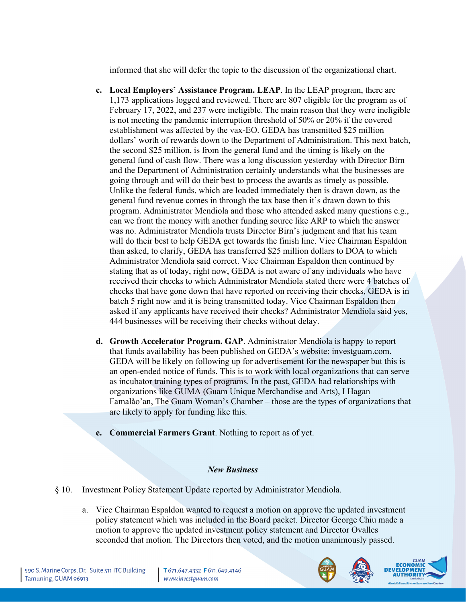informed that she will defer the topic to the discussion of the organizational chart.

- **c. Local Employers' Assistance Program. LEAP**. In the LEAP program, there are 1,173 applications logged and reviewed. There are 807 eligible for the program as of February 17, 2022, and 237 were ineligible. The main reason that they were ineligible is not meeting the pandemic interruption threshold of 50% or 20% if the covered establishment was affected by the vax-EO. GEDA has transmitted \$25 million dollars' worth of rewards down to the Department of Administration. This next batch, the second \$25 million, is from the general fund and the timing is likely on the general fund of cash flow. There was a long discussion yesterday with Director Birn and the Department of Administration certainly understands what the businesses are going through and will do their best to process the awards as timely as possible. Unlike the federal funds, which are loaded immediately then is drawn down, as the general fund revenue comes in through the tax base then it's drawn down to this program. Administrator Mendiola and those who attended asked many questions e.g., can we front the money with another funding source like ARP to which the answer was no. Administrator Mendiola trusts Director Birn's judgment and that his team will do their best to help GEDA get towards the finish line. Vice Chairman Espaldon than asked, to clarify, GEDA has transferred \$25 million dollars to DOA to which Administrator Mendiola said correct. Vice Chairman Espaldon then continued by stating that as of today, right now, GEDA is not aware of any individuals who have received their checks to which Administrator Mendiola stated there were 4 batches of checks that have gone down that have reported on receiving their checks, GEDA is in batch 5 right now and it is being transmitted today. Vice Chairman Espaldon then asked if any applicants have received their checks? Administrator Mendiola said yes, 444 businesses will be receiving their checks without delay.
- **d. Growth Accelerator Program. GAP**. Administrator Mendiola is happy to report that funds availability has been published on GEDA's website: investguam.com. GEDA will be likely on following up for advertisement for the newspaper but this is an open-ended notice of funds. This is to work with local organizations that can serve as incubator training types of programs. In the past, GEDA had relationships with organizations like GUMA (Guam Unique Merchandise and Arts), I Hagan Famalåo'an, The Guam Woman's Chamber – those are the types of organizations that are likely to apply for funding like this.
- **e. Commercial Farmers Grant**. Nothing to report as of yet.

## *New Business*

- § 10. Investment Policy Statement Update reported by Administrator Mendiola.
	- a. Vice Chairman Espaldon wanted to request a motion on approve the updated investment policy statement which was included in the Board packet. Director George Chiu made a motion to approve the updated investment policy statement and Director Ovalles seconded that motion. The Directors then voted, and the motion unanimously passed.



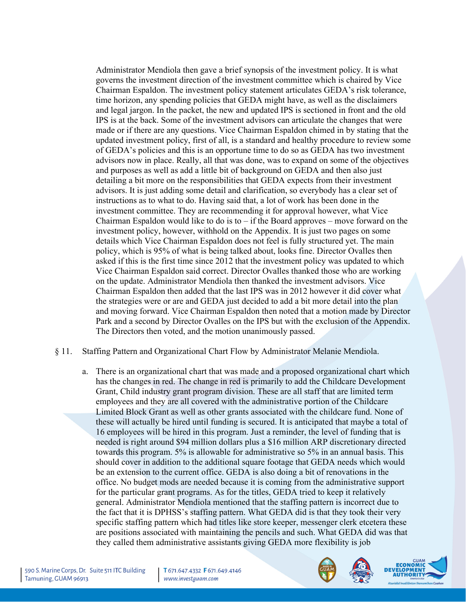Administrator Mendiola then gave a brief synopsis of the investment policy. It is what governs the investment direction of the investment committee which is chaired by Vice Chairman Espaldon. The investment policy statement articulates GEDA's risk tolerance, time horizon, any spending policies that GEDA might have, as well as the disclaimers and legal jargon. In the packet, the new and updated IPS is sectioned in front and the old IPS is at the back. Some of the investment advisors can articulate the changes that were made or if there are any questions. Vice Chairman Espaldon chimed in by stating that the updated investment policy, first of all, is a standard and healthy procedure to review some of GEDA's policies and this is an opportune time to do so as GEDA has two investment advisors now in place. Really, all that was done, was to expand on some of the objectives and purposes as well as add a little bit of background on GEDA and then also just detailing a bit more on the responsibilities that GEDA expects from their investment advisors. It is just adding some detail and clarification, so everybody has a clear set of instructions as to what to do. Having said that, a lot of work has been done in the investment committee. They are recommending it for approval however, what Vice Chairman Espaldon would like to do is to  $-i$  f the Board approves – move forward on the investment policy, however, withhold on the Appendix. It is just two pages on some details which Vice Chairman Espaldon does not feel is fully structured yet. The main policy, which is 95% of what is being talked about, looks fine. Director Ovalles then asked if this is the first time since 2012 that the investment policy was updated to which Vice Chairman Espaldon said correct. Director Ovalles thanked those who are working on the update. Administrator Mendiola then thanked the investment advisors. Vice Chairman Espaldon then added that the last IPS was in 2012 however it did cover what the strategies were or are and GEDA just decided to add a bit more detail into the plan and moving forward. Vice Chairman Espaldon then noted that a motion made by Director Park and a second by Director Ovalles on the IPS but with the exclusion of the Appendix. The Directors then voted, and the motion unanimously passed.

### § 11. Staffing Pattern and Organizational Chart Flow by Administrator Melanie Mendiola.

a. There is an organizational chart that was made and a proposed organizational chart which has the changes in red. The change in red is primarily to add the Childcare Development Grant, Child industry grant program division. These are all staff that are limited term employees and they are all covered with the administrative portion of the Childcare Limited Block Grant as well as other grants associated with the childcare fund. None of these will actually be hired until funding is secured. It is anticipated that maybe a total of 16 employees will be hired in this program. Just a reminder, the level of funding that is needed is right around \$94 million dollars plus a \$16 million ARP discretionary directed towards this program. 5% is allowable for administrative so 5% in an annual basis. This should cover in addition to the additional square footage that GEDA needs which would be an extension to the current office. GEDA is also doing a bit of renovations in the office. No budget mods are needed because it is coming from the administrative support for the particular grant programs. As for the titles, GEDA tried to keep it relatively general. Administrator Mendiola mentioned that the staffing pattern is incorrect due to the fact that it is DPHSS's staffing pattern. What GEDA did is that they took their very specific staffing pattern which had titles like store keeper, messenger clerk etcetera these are positions associated with maintaining the pencils and such. What GEDA did was that they called them administrative assistants giving GEDA more flexibility is job